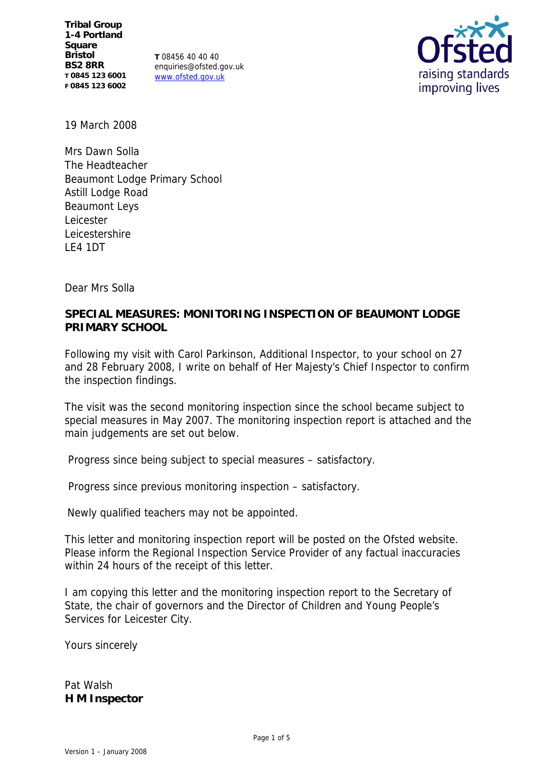**Tribal Group 1-4 Portland Square Bristol BS2 8RR T 0845 123 6001 F 0845 123 6002**

**T** 08456 40 40 40 enquiries@ofsted.gov.uk www.ofsted.gov.uk



19 March 2008

Mrs Dawn Solla The Headteacher Beaumont Lodge Primary School Astill Lodge Road Beaumont Leys Leicester Leicestershire LE4 1DT

Dear Mrs Solla

**SPECIAL MEASURES: MONITORING INSPECTION OF BEAUMONT LODGE PRIMARY SCHOOL**

Following my visit with Carol Parkinson, Additional Inspector, to your school on 27 and 28 February 2008, I write on behalf of Her Majesty's Chief Inspector to confirm the inspection findings.

The visit was the second monitoring inspection since the school became subject to special measures in May 2007. The monitoring inspection report is attached and the main judgements are set out below.

Progress since being subject to special measures – satisfactory.

Progress since previous monitoring inspection – satisfactory.

Newly qualified teachers may not be appointed.

This letter and monitoring inspection report will be posted on the Ofsted website. Please inform the Regional Inspection Service Provider of any factual inaccuracies within 24 hours of the receipt of this letter.

I am copying this letter and the monitoring inspection report to the Secretary of State, the chair of governors and the Director of Children and Young People's Services for Leicester City.

Yours sincerely

Pat Walsh **H M Inspector**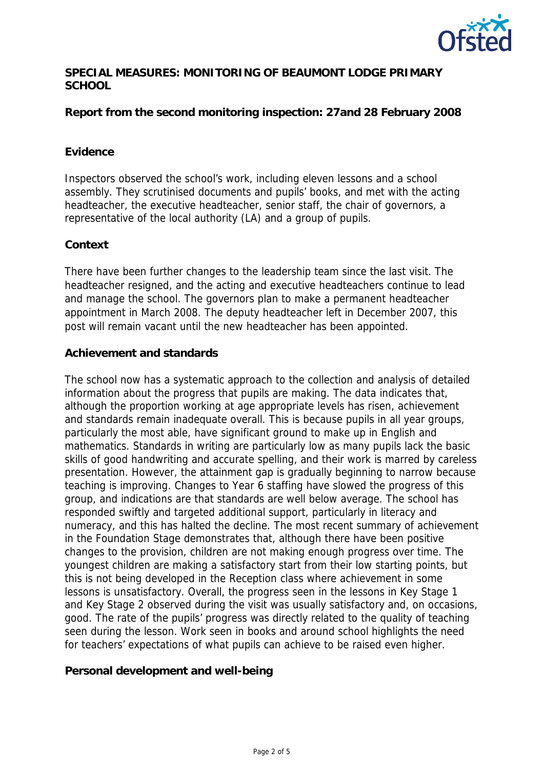

### **SPECIAL MEASURES: MONITORING OF BEAUMONT LODGE PRIMARY SCHOOL**

**Report from the second monitoring inspection: 27and 28 February 2008**

#### **Evidence**

Inspectors observed the school's work, including eleven lessons and a school assembly. They scrutinised documents and pupils' books, and met with the acting headteacher, the executive headteacher, senior staff, the chair of governors, a representative of the local authority (LA) and a group of pupils.

#### **Context**

There have been further changes to the leadership team since the last visit. The headteacher resigned, and the acting and executive headteachers continue to lead and manage the school. The governors plan to make a permanent headteacher appointment in March 2008. The deputy headteacher left in December 2007, this post will remain vacant until the new headteacher has been appointed.

#### **Achievement and standards**

The school now has a systematic approach to the collection and analysis of detailed information about the progress that pupils are making. The data indicates that, although the proportion working at age appropriate levels has risen, achievement and standards remain inadequate overall. This is because pupils in all year groups, particularly the most able, have significant ground to make up in English and mathematics. Standards in writing are particularly low as many pupils lack the basic skills of good handwriting and accurate spelling, and their work is marred by careless presentation. However, the attainment gap is gradually beginning to narrow because teaching is improving. Changes to Year 6 staffing have slowed the progress of this group, and indications are that standards are well below average. The school has responded swiftly and targeted additional support, particularly in literacy and numeracy, and this has halted the decline. The most recent summary of achievement in the Foundation Stage demonstrates that, although there have been positive changes to the provision, children are not making enough progress over time. The youngest children are making a satisfactory start from their low starting points, but this is not being developed in the Reception class where achievement in some lessons is unsatisfactory. Overall, the progress seen in the lessons in Key Stage 1 and Key Stage 2 observed during the visit was usually satisfactory and, on occasions, good. The rate of the pupils' progress was directly related to the quality of teaching seen during the lesson. Work seen in books and around school highlights the need for teachers' expectations of what pupils can achieve to be raised even higher.

**Personal development and well-being**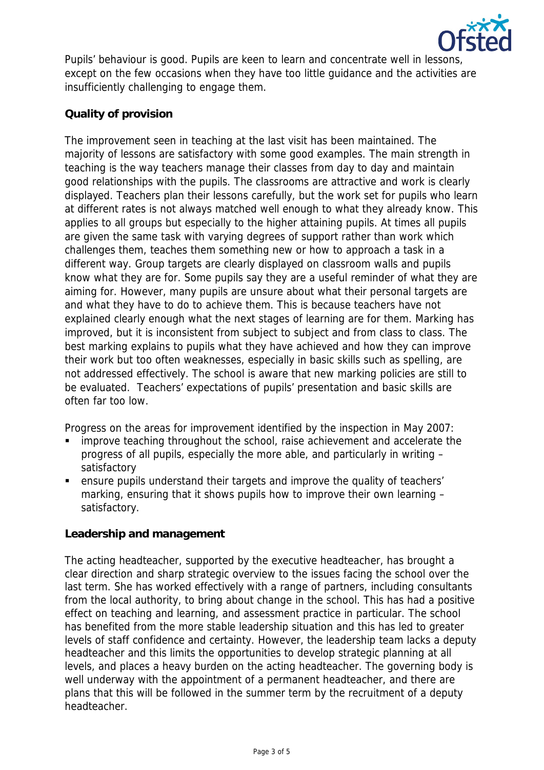

Pupils' behaviour is good. Pupils are keen to learn and concentrate well in lessons, except on the few occasions when they have too little guidance and the activities are insufficiently challenging to engage them.

# **Quality of provision**

The improvement seen in teaching at the last visit has been maintained. The majority of lessons are satisfactory with some good examples. The main strength in teaching is the way teachers manage their classes from day to day and maintain good relationships with the pupils. The classrooms are attractive and work is clearly displayed. Teachers plan their lessons carefully, but the work set for pupils who learn at different rates is not always matched well enough to what they already know. This applies to all groups but especially to the higher attaining pupils. At times all pupils are given the same task with varying degrees of support rather than work which challenges them, teaches them something new or how to approach a task in a different way. Group targets are clearly displayed on classroom walls and pupils know what they are for. Some pupils say they are a useful reminder of what they are aiming for. However, many pupils are unsure about what their personal targets are and what they have to do to achieve them. This is because teachers have not explained clearly enough what the next stages of learning are for them. Marking has improved, but it is inconsistent from subject to subject and from class to class. The best marking explains to pupils what they have achieved and how they can improve their work but too often weaknesses, especially in basic skills such as spelling, are not addressed effectively. The school is aware that new marking policies are still to be evaluated. Teachers' expectations of pupils' presentation and basic skills are often far too low.

Progress on the areas for improvement identified by the inspection in May 2007:

- improve teaching throughout the school, raise achievement and accelerate the progress of all pupils, especially the more able, and particularly in writing – satisfactory
- ensure pupils understand their targets and improve the quality of teachers' marking, ensuring that it shows pupils how to improve their own learning – satisfactory.

## **Leadership and management**

The acting headteacher, supported by the executive headteacher, has brought a clear direction and sharp strategic overview to the issues facing the school over the last term. She has worked effectively with a range of partners, including consultants from the local authority, to bring about change in the school. This has had a positive effect on teaching and learning, and assessment practice in particular. The school has benefited from the more stable leadership situation and this has led to greater levels of staff confidence and certainty. However, the leadership team lacks a deputy headteacher and this limits the opportunities to develop strategic planning at all levels, and places a heavy burden on the acting headteacher. The governing body is well underway with the appointment of a permanent headteacher, and there are plans that this will be followed in the summer term by the recruitment of a deputy headteacher.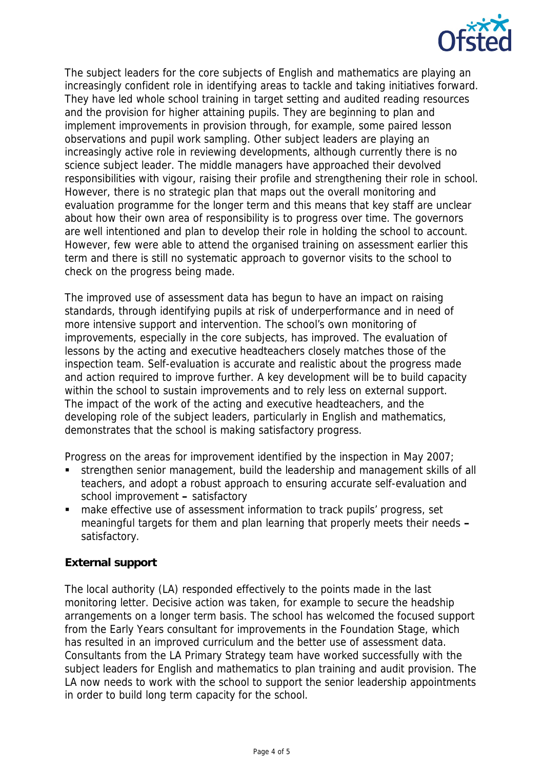

The subject leaders for the core subjects of English and mathematics are playing an increasingly confident role in identifying areas to tackle and taking initiatives forward. They have led whole school training in target setting and audited reading resources and the provision for higher attaining pupils. They are beginning to plan and implement improvements in provision through, for example, some paired lesson observations and pupil work sampling. Other subject leaders are playing an increasingly active role in reviewing developments, although currently there is no science subject leader. The middle managers have approached their devolved responsibilities with vigour, raising their profile and strengthening their role in school. However, there is no strategic plan that maps out the overall monitoring and evaluation programme for the longer term and this means that key staff are unclear about how their own area of responsibility is to progress over time. The governors are well intentioned and plan to develop their role in holding the school to account. However, few were able to attend the organised training on assessment earlier this term and there is still no systematic approach to governor visits to the school to check on the progress being made.

The improved use of assessment data has begun to have an impact on raising standards, through identifying pupils at risk of underperformance and in need of more intensive support and intervention. The school's own monitoring of improvements, especially in the core subjects, has improved. The evaluation of lessons by the acting and executive headteachers closely matches those of the inspection team. Self-evaluation is accurate and realistic about the progress made and action required to improve further. A key development will be to build capacity within the school to sustain improvements and to rely less on external support. The impact of the work of the acting and executive headteachers, and the developing role of the subject leaders, particularly in English and mathematics, demonstrates that the school is making satisfactory progress.

Progress on the areas for improvement identified by the inspection in May 2007;

- strengthen senior management, build the leadership and management skills of all teachers, and adopt a robust approach to ensuring accurate self-evaluation and school improvement **–** satisfactory
- make effective use of assessment information to track pupils' progress, set meaningful targets for them and plan learning that properly meets their needs **–** satisfactory.

## **External support**

The local authority (LA) responded effectively to the points made in the last monitoring letter. Decisive action was taken, for example to secure the headship arrangements on a longer term basis. The school has welcomed the focused support from the Early Years consultant for improvements in the Foundation Stage, which has resulted in an improved curriculum and the better use of assessment data. Consultants from the LA Primary Strategy team have worked successfully with the subject leaders for English and mathematics to plan training and audit provision. The LA now needs to work with the school to support the senior leadership appointments in order to build long term capacity for the school.